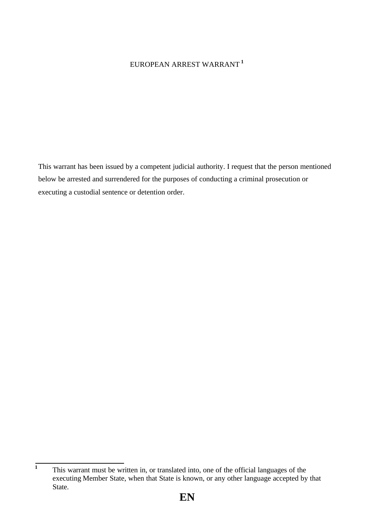## EUROPEAN ARREST WARRANT **<sup>1</sup>**

This warrant has been issued by a competent judicial authority. I request that the person mentioned below be arrested and surrendered for the purposes of conducting a criminal prosecution or executing a custodial sentence or detention order.

**<sup>1</sup>** This warrant must be written in, or translated into, one of the official languages of the executing Member State, when that State is known, or any other language accepted by that State.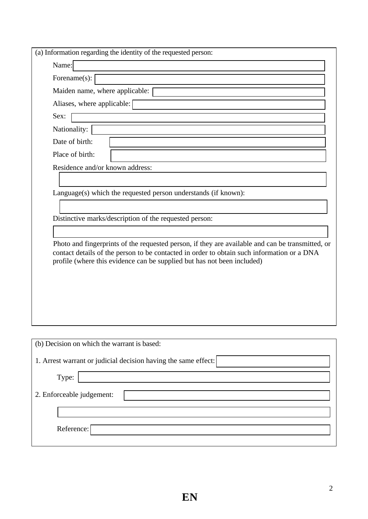| (a) Information regarding the identity of the requested person:                                                                                                                                                                                                           |
|---------------------------------------------------------------------------------------------------------------------------------------------------------------------------------------------------------------------------------------------------------------------------|
| Name:                                                                                                                                                                                                                                                                     |
| Forename(s):                                                                                                                                                                                                                                                              |
| Maiden name, where applicable:                                                                                                                                                                                                                                            |
| Aliases, where applicable:                                                                                                                                                                                                                                                |
| Sex:                                                                                                                                                                                                                                                                      |
| Nationality:                                                                                                                                                                                                                                                              |
| Date of birth:                                                                                                                                                                                                                                                            |
| Place of birth:                                                                                                                                                                                                                                                           |
| Residence and/or known address:                                                                                                                                                                                                                                           |
|                                                                                                                                                                                                                                                                           |
| Language(s) which the requested person understands (if known):                                                                                                                                                                                                            |
|                                                                                                                                                                                                                                                                           |
| Distinctive marks/description of the requested person:                                                                                                                                                                                                                    |
|                                                                                                                                                                                                                                                                           |
| Photo and fingerprints of the requested person, if they are available and can be transmitted, or<br>contact details of the person to be contacted in order to obtain such information or a DNA<br>profile (where this evidence can be supplied but has not been included) |
| (b) Decision on which the warrant is based:                                                                                                                                                                                                                               |
| 1. Arrest warrant or judicial decision having the same effect:                                                                                                                                                                                                            |
|                                                                                                                                                                                                                                                                           |
| Type:                                                                                                                                                                                                                                                                     |
| 2. Enforceable judgement:                                                                                                                                                                                                                                                 |
|                                                                                                                                                                                                                                                                           |
|                                                                                                                                                                                                                                                                           |
| Reference:                                                                                                                                                                                                                                                                |
|                                                                                                                                                                                                                                                                           |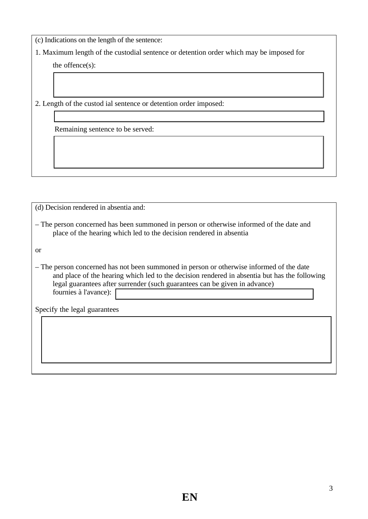(c) Indications on the length of the sentence:

1. Maximum length of the custodial sentence or detention order which may be imposed for

the offence(s):

2. Length of the custod ial sentence or detention order imposed:

Remaining sentence to be served:

(d) Decision rendered in absentia and: – The person concerned has been summoned in person or otherwise informed of the date and place of the hearing which led to the decision rendered in absentia or – The person concerned has not been summoned in person or otherwise informed of the date and place of the hearing which led to the decision rendered in absentia but has the following legal guarantees after surrender (such guarantees can be given in advance) fournies à l'avance): Specify the legal guarantees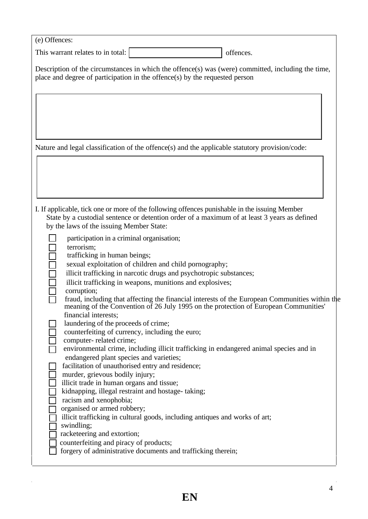| (e) Offences:                                                                                                                                                                                                                                                                                                                                                                                                                                                                                                                                                                                                                                                                                                                                                                                                                                                                                                                                                                                                                                                                                                                                                                                                                                                             |           |
|---------------------------------------------------------------------------------------------------------------------------------------------------------------------------------------------------------------------------------------------------------------------------------------------------------------------------------------------------------------------------------------------------------------------------------------------------------------------------------------------------------------------------------------------------------------------------------------------------------------------------------------------------------------------------------------------------------------------------------------------------------------------------------------------------------------------------------------------------------------------------------------------------------------------------------------------------------------------------------------------------------------------------------------------------------------------------------------------------------------------------------------------------------------------------------------------------------------------------------------------------------------------------|-----------|
| This warrant relates to in total:                                                                                                                                                                                                                                                                                                                                                                                                                                                                                                                                                                                                                                                                                                                                                                                                                                                                                                                                                                                                                                                                                                                                                                                                                                         | offences. |
| Description of the circumstances in which the offence(s) was (were) committed, including the time,<br>place and degree of participation in the offence(s) by the requested person                                                                                                                                                                                                                                                                                                                                                                                                                                                                                                                                                                                                                                                                                                                                                                                                                                                                                                                                                                                                                                                                                         |           |
| Nature and legal classification of the offence(s) and the applicable statutory provision/code:                                                                                                                                                                                                                                                                                                                                                                                                                                                                                                                                                                                                                                                                                                                                                                                                                                                                                                                                                                                                                                                                                                                                                                            |           |
|                                                                                                                                                                                                                                                                                                                                                                                                                                                                                                                                                                                                                                                                                                                                                                                                                                                                                                                                                                                                                                                                                                                                                                                                                                                                           |           |
| I. If applicable, tick one or more of the following offences punishable in the issuing Member<br>State by a custodial sentence or detention order of a maximum of at least 3 years as defined<br>by the laws of the issuing Member State:                                                                                                                                                                                                                                                                                                                                                                                                                                                                                                                                                                                                                                                                                                                                                                                                                                                                                                                                                                                                                                 |           |
| participation in a criminal organisation;<br>terrorism;<br>trafficking in human beings;<br>sexual exploitation of children and child pornography;<br>illicit trafficking in narcotic drugs and psychotropic substances;<br>illicit trafficking in weapons, munitions and explosives;<br>corruption;<br>fraud, including that affecting the financial interests of the European Communities within the<br>meaning of the Convention of 26 July 1995 on the protection of European Communities'<br>financial interests;<br>laundering of the proceeds of crime;<br>counterfeiting of currency, including the euro;<br>computer-related crime;<br>environmental crime, including illicit trafficking in endangered animal species and in<br>endangered plant species and varieties;<br>facilitation of unauthorised entry and residence;<br>murder, grievous bodily injury;<br>illicit trade in human organs and tissue;<br>kidnapping, illegal restraint and hostage-taking;<br>racism and xenophobia;<br>organised or armed robbery;<br>illicit trafficking in cultural goods, including antiques and works of art;<br>swindling;<br>racketeering and extortion;<br>counterfeiting and piracy of products;<br>forgery of administrative documents and trafficking therein; |           |

 $\mathcal{L}^{\text{max}}$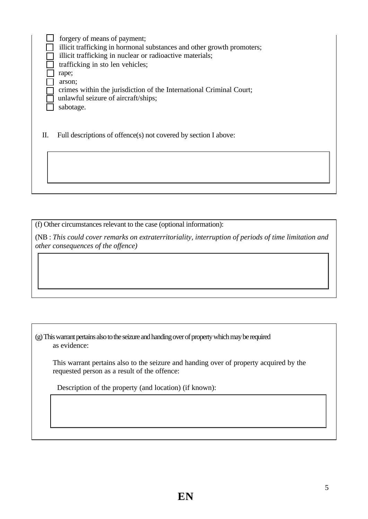forgery of means of payment;  $\perp$ illicit trafficking in hormonal substances and other growth promoters; illicit trafficking in nuclear or radioactive materials; trafficking in sto len vehicles; rape; П arson; crimes within the jurisdiction of the International Criminal Court; unlawful seizure of aircraft/ships; sabotage.

II. Full descriptions of offence(s) not covered by section I above:

(f) Other circumstances relevant to the case (optional information):

(NB : *This could cover remarks on extraterritoriality, interruption of periods of time limitation and other consequences of the offence)* 

(g) This warrant pertains also to the seizure and handing over of property which may be required as evidence:

This warrant pertains also to the seizure and handing over of property acquired by the requested person as a result of the offence:

Description of the property (and location) (if known):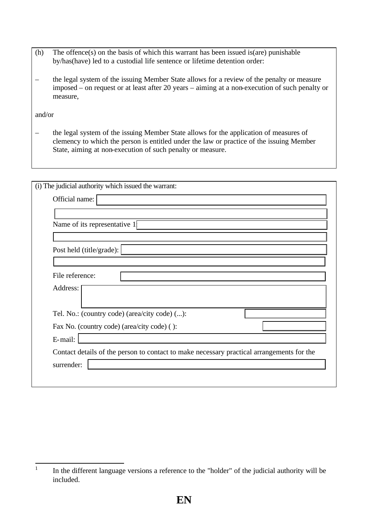- (h) The offence(s) on the basis of which this warrant has been issued is(are) punishable by/has(have) led to a custodial life sentence or lifetime detention order:
- the legal system of the issuing Member State allows for a review of the penalty or measure imposed – on request or at least after 20 years – aiming at a non-execution of such penalty or measure,

and/or

– the legal system of the issuing Member State allows for the application of measures of clemency to which the person is entitled under the law or practice of the issuing Member State, aiming at non-execution of such penalty or measure.

| (i) The judicial authority which issued the warrant:                                      |
|-------------------------------------------------------------------------------------------|
| Official name:                                                                            |
|                                                                                           |
| Name of its representative 1                                                              |
|                                                                                           |
| Post held (title/grade):                                                                  |
|                                                                                           |
| File reference:                                                                           |
| Address:                                                                                  |
|                                                                                           |
| Tel. No.: (country code) (area/city code) ():                                             |
| Fax No. (country code) (area/city code) ():                                               |
| E-mail:                                                                                   |
| Contact details of the person to contact to make necessary practical arrangements for the |
| surrender:                                                                                |
|                                                                                           |

 $\frac{1}{1}$ In the different language versions a reference to the "holder" of the judicial authority will be included.